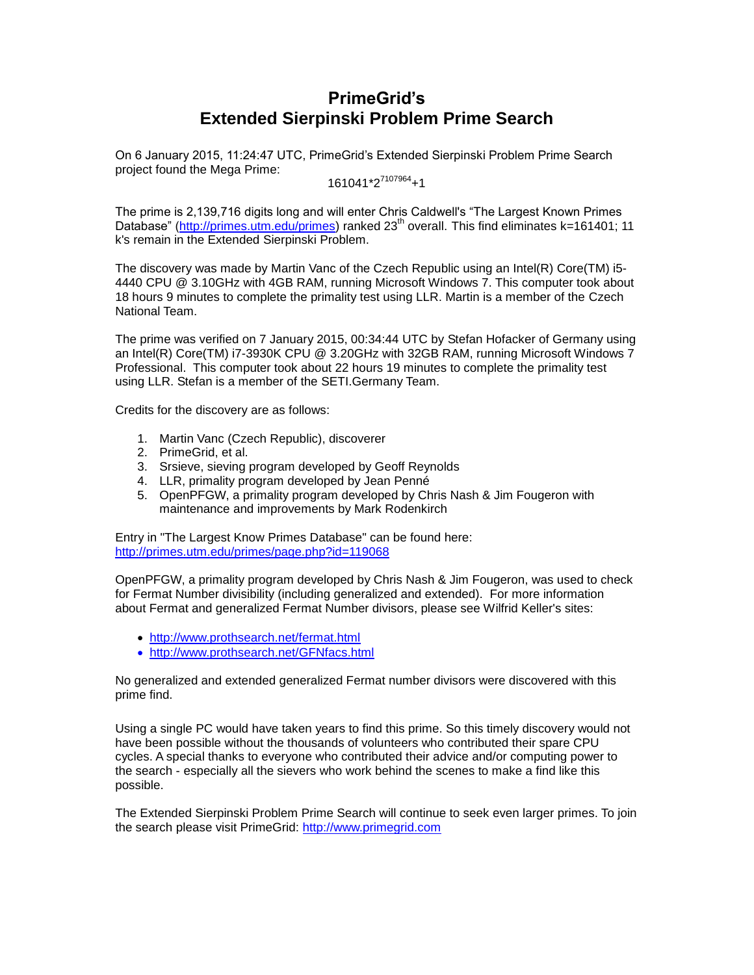# **PrimeGrid's Extended Sierpinski Problem Prime Search**

On 6 January 2015, 11:24:47 UTC, PrimeGrid's Extended Sierpinski Problem Prime Search project found the Mega Prime:

 $161041*2^{7107964}$ +1

The prime is 2,139,716 digits long and will enter Chris Caldwell's "The Largest Known Primes Database" [\(http://primes.utm.edu/primes\)](http://primes.utm.edu/primes) ranked 23<sup>th</sup> overall. This find eliminates k=161401; 11 k's remain in the Extended Sierpinski Problem.

The discovery was made by Martin Vanc of the Czech Republic using an Intel(R) Core(TM) i5- 4440 CPU @ 3.10GHz with 4GB RAM, running Microsoft Windows 7. This computer took about 18 hours 9 minutes to complete the primality test using LLR. Martin is a member of the Czech National Team.

The prime was verified on 7 January 2015, 00:34:44 UTC by Stefan Hofacker of Germany using an Intel(R) Core(TM) i7-3930K CPU @ 3.20GHz with 32GB RAM, running Microsoft Windows 7 Professional. This computer took about 22 hours 19 minutes to complete the primality test using LLR. Stefan is a member of the SETI.Germany Team.

Credits for the discovery are as follows:

- 1. Martin Vanc (Czech Republic), discoverer
- 2. PrimeGrid, et al.
- 3. Srsieve, sieving program developed by Geoff Reynolds
- 4. LLR, primality program developed by Jean Penné
- 5. OpenPFGW, a primality program developed by Chris Nash & Jim Fougeron with maintenance and improvements by Mark Rodenkirch

Entry in "The Largest Know Primes Database" can be found here: <http://primes.utm.edu/primes/page.php?id=119068>

OpenPFGW, a primality program developed by Chris Nash & Jim Fougeron, was used to check for Fermat Number divisibility (including generalized and extended). For more information about Fermat and generalized Fermat Number divisors, please see Wilfrid Keller's sites:

- <http://www.prothsearch.net/fermat.html>
- <http://www.prothsearch.net/GFNfacs.html>

No generalized and extended generalized Fermat number divisors were discovered with this prime find.

Using a single PC would have taken years to find this prime. So this timely discovery would not have been possible without the thousands of volunteers who contributed their spare CPU cycles. A special thanks to everyone who contributed their advice and/or computing power to the search - especially all the sievers who work behind the scenes to make a find like this possible.

The Extended Sierpinski Problem Prime Search will continue to seek even larger primes. To join the search please visit PrimeGrid: [http://www.primegrid.com](http://www.primegrid.com/)